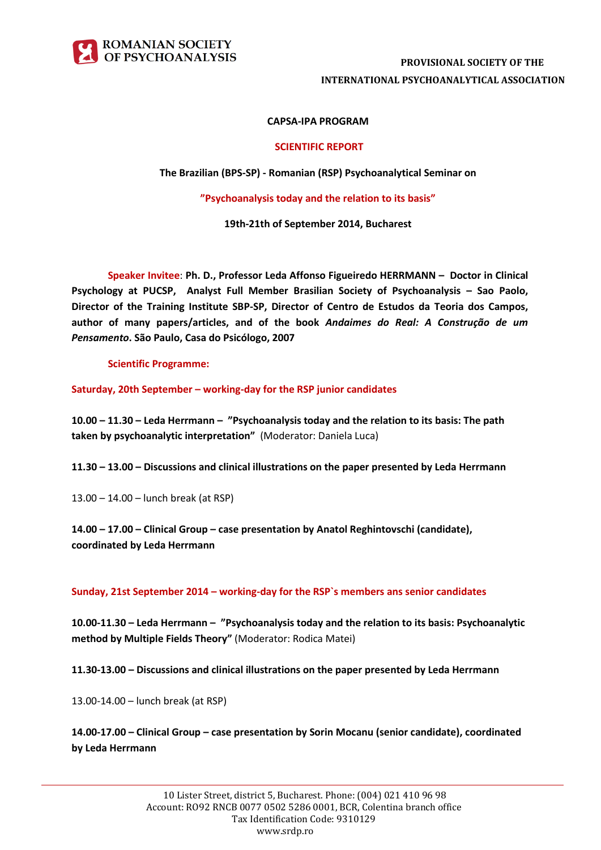

# **PROVISIONAL SOCIETY OF THE INTERNATIONAL PSYCHOANALYTICAL ASSOCIATION**

## **CAPSA-IPA PROGRAM**

#### **SCIENTIFIC REPORT**

**The Brazilian (BPS-SP) - Romanian (RSP) Psychoanalytical Seminar on**

**"Psychoanalysis today and the relation to its basis"**

**19th-21th of September 2014, Bucharest**

**Speaker Invitee**: **Ph. D., Professor Leda Affonso Figueiredo HERRMANN – Doctor in Clinical Psychology at PUCSP, Analyst Full Member Brasilian Society of Psychoanalysis – Sao Paolo, Director of the Training Institute SBP-SP, Director of Centro de Estudos da Teoria dos Campos, author of many papers/articles, and of the book** *Andaimes do Real: A Construção de um Pensamento***. São Paulo, Casa do Psicólogo, 2007**

**Scientific Programme:**

**Saturday, 20th September – working-day for the RSP junior candidates** 

**10.00 – 11.30 – Leda Herrmann – "Psychoanalysis today and the relation to its basis: The path taken by psychoanalytic interpretation"** (Moderator: Daniela Luca)

**11.30 – 13.00 – Discussions and clinical illustrations on the paper presented by Leda Herrmann**

13.00 – 14.00 – lunch break (at RSP)

**14.00 – 17.00 – Clinical Group – case presentation by Anatol Reghintovschi (candidate), coordinated by Leda Herrmann**

**Sunday, 21st September 2014 – working-day for the RSP`s members ans senior candidates**

**10.00-11.30 – Leda Herrmann – "Psychoanalysis today and the relation to its basis: Psychoanalytic method by Multiple Fields Theory"** (Moderator: Rodica Matei)

**11.30-13.00 – Discussions and clinical illustrations on the paper presented by Leda Herrmann**

13.00-14.00 – lunch break (at RSP)

**14.00-17.00 – Clinical Group – case presentation by Sorin Mocanu (senior candidate), coordinated by Leda Herrmann**